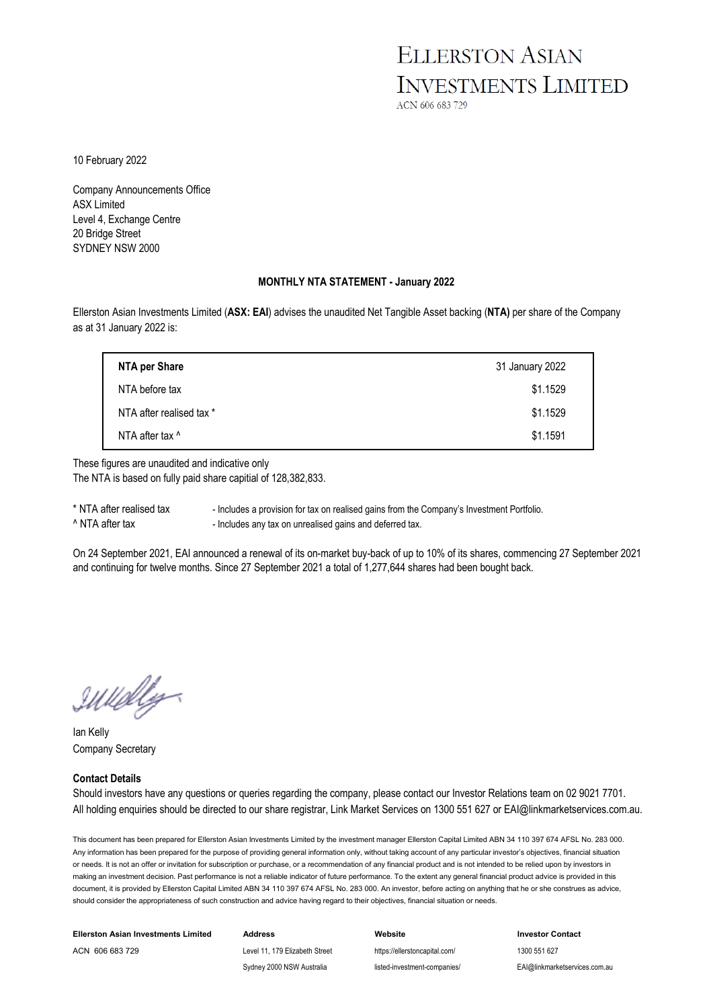## **ELLERSTON ASIAN INVESTMENTS LIMITED**

ACN 606 683 729

10 February 2022

Company Announcements Office ASX Limited Level 4, Exchange Centre 20 Bridge Street SYDNEY NSW 2000

#### **MONTHLY NTA STATEMENT - January 2022**

Ellerston Asian Investments Limited (**ASX: EAI**) advises the unaudited Net Tangible Asset backing (**NTA)** per share of the Company as at 31 January 2022 is:

| NTA per Share            | 31 January 2022 |
|--------------------------|-----------------|
| NTA before tax           | \$1.1529        |
| NTA after realised tax * | \$1.1529        |
| NTA after tax ^          | \$1.1591        |

These figures are unaudited and indicative only The NTA is based on fully paid share capitial of 128,382,833.

\* NTA after realised tax - Includes a provision for tax on realised gains from the Company's Investment Portfolio. <sup>^</sup> NTA after tax  $\blacksquare$  - Includes any tax on unrealised gains and deferred tax.

On 24 September 2021, EAI announced a renewal of its on-market buy-back of up to 10% of its shares, commencing 27 September 2021 and continuing for twelve months. Since 27 September 2021 a total of 1,277,644 shares had been bought back.

IWelly-

Ian Kelly Company Secretary

#### **Contact Details**

Should investors have any questions or queries regarding the company, please contact our Investor Relations team on 02 9021 7701. All holding enquiries should be directed to our share registrar, Link Market Services on 1300 551 627 or EAI@linkmarketservices.com.au.

This document has been prepared for Ellerston Asian Investments Limited by the investment manager Ellerston Capital Limited ABN 34 110 397 674 AFSL No. 283 000. Any information has been prepared for the purpose of providing general information only, without taking account of any particular investor's objectives, financial situation or needs. It is not an offer or invitation for subscription or purchase, or a recommendation of any financial product and is not intended to be relied upon by investors in making an investment decision. Past performance is not a reliable indicator of future performance. To the extent any general financial product advice is provided in this document, it is provided by Ellerston Capital Limited ABN 34 110 397 674 AFSL No. 283 000. An investor, before acting on anything that he or she construes as advice. should consider the appropriateness of such construction and advice having regard to their objectives, financial situation or needs.

| <b>Ellerston Asian Investments Limited</b> | Address                        | Website                       | <b>Investor Contact</b>       |
|--------------------------------------------|--------------------------------|-------------------------------|-------------------------------|
| ACN 606 683 729                            | Level 11, 179 Elizabeth Street | https://ellerstoncapital.com/ | 1300 551 627                  |
|                                            | Sydney 2000 NSW Australia      | listed-investment-companies/  | EAI@linkmarketservices.com.au |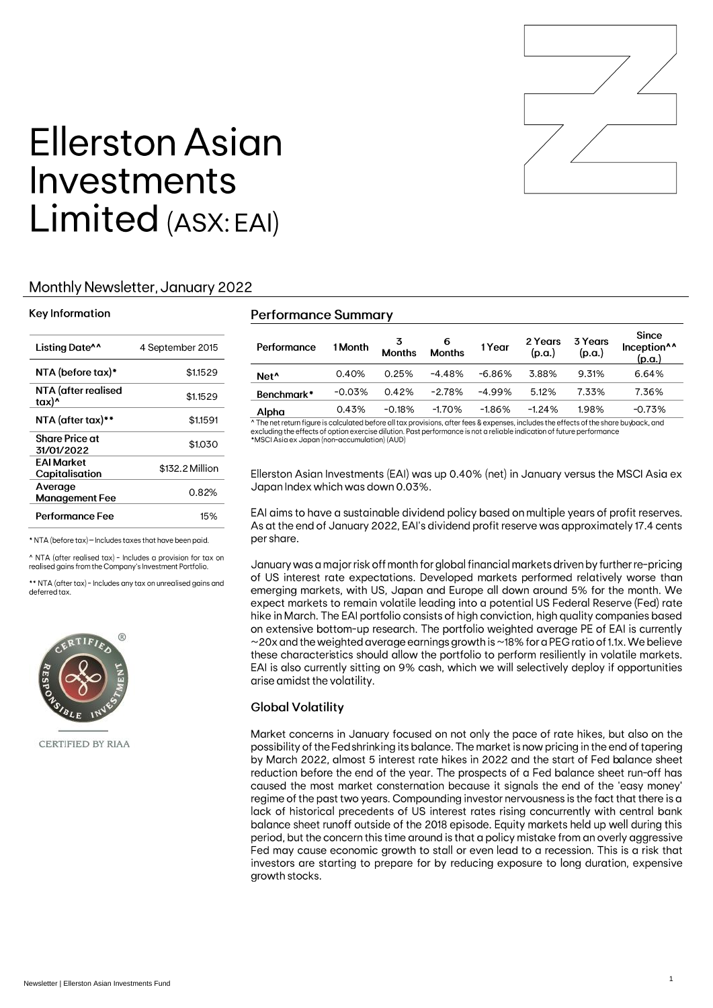

# **Ellerston Asian** Investments Limited (ASX: EAI)

### **Monthly Newsletter, January 2022**

#### **Key Information**

| Listing Date <sup>^^</sup>          | 4 September 2015 |
|-------------------------------------|------------------|
| NTA (before tax)*                   | \$1.1529         |
| NTA (after realised<br>tax)^        | \$1.1529         |
| NTA (after tax)**                   | \$1.1591         |
| <b>Share Price at</b><br>31/01/2022 | \$1.030          |
| FAI Market<br>Capitalisation        | \$132.2 Million  |
| Average<br><b>Management Fee</b>    | 0.82%            |
| Performance Fee                     | 15%              |

\* NTA (before tax) - Includes taxes that have been paid

^ NTA (after realised tax) - Includes a provision for tax on realised gains from the Company's Investment Portfolio

\*\* NTA (after tax) - Includes any tax on unrealised gains and deferred tax



CERTIFIED BY RIAA

#### **Performance Summary**

| Performance      | 1 Month  | 3<br><b>Months</b> | 6<br><b>Months</b> | 1 Year    | 2 Years<br>(p.a.) | 3 Years<br>(p.a.) | <b>Since</b><br>Inception <sup>^^</sup><br>(p.a.) |
|------------------|----------|--------------------|--------------------|-----------|-------------------|-------------------|---------------------------------------------------|
| Net <sup>^</sup> | 0.40%    | 0.25%              | $-4.48%$           | $-6.86\%$ | 3.88%             | 9.31%             | 6.64%                                             |
| Benchmark*       | $-0.03%$ | 0.42%              | $-2.78\%$          | $-4.99\%$ | 5.12%             | 7.33%             | 7.36%                                             |
| Alpha            | 0.43%    | $-0.18%$           | $-1.70%$           | $-1.86%$  | $-1.24%$          | 1.98%             | $-0.73%$                                          |

The net return figure is calculated before all tax provisions, after fees & expenses, includes the effects of the share buyback, and excluding the effects of option exercise dilution. Past performance is not a reliable ind \*MSCI Asia ex Japan (non-accumulation) (AUD)

Ellerston Asian Investments (EAI) was up 0.40% (net) in January versus the MSCI Asia ex Japan Index which was down 0.03%.

EAI aims to have a sustainable dividend policy based on multiple years of profit reserves. As at the end of January 2022, EAI's dividend profit reserve was approximately 17.4 cents per share.

January was a major risk off month for global financial markets driven by further re-pricing of US interest rate expectations. Developed markets performed relatively worse than emerging markets, with US, Japan and Europe all down around 5% for the month. We expect markets to remain volatile leading into a potential US Federal Reserve (Fed) rate hike in March. The EAI portfolio consists of high conviction, high quality companies based on extensive bottom-up research. The portfolio weighted average PE of EAI is currently  $\sim$  20x and the weighted average earnings growth is  $\sim$  18% for a PEG ratio of 1.1x. We believe these characteristics should allow the portfolio to perform resiliently in volatile markets. EAI is also currently sitting on 9% cash, which we will selectively deploy if opportunities arise amidst the volatility.

#### **Global Volatility**

Market concerns in January focused on not only the pace of rate hikes, but also on the possibility of the Fed shrinking its balance. The market is now pricing in the end of tapering by March 2022, almost 5 interest rate hikes in 2022 and the start of Fed balance sheet reduction before the end of the year. The prospects of a Fed balance sheet run-off has caused the most market consternation because it signals the end of the 'easy money' regime of the past two years. Compounding investor nervousness is the fact that there is a lack of historical precedents of US interest rates rising concurrently with central bank balance sheet runoff outside of the 2018 episode. Equity markets held up well during this period, but the concern this time around is that a policy mistake from an overly aggressive Fed may cause economic growth to stall or even lead to a recession. This is a risk that investors are starting to prepare for by reducing exposure to long duration, expensive growth stocks.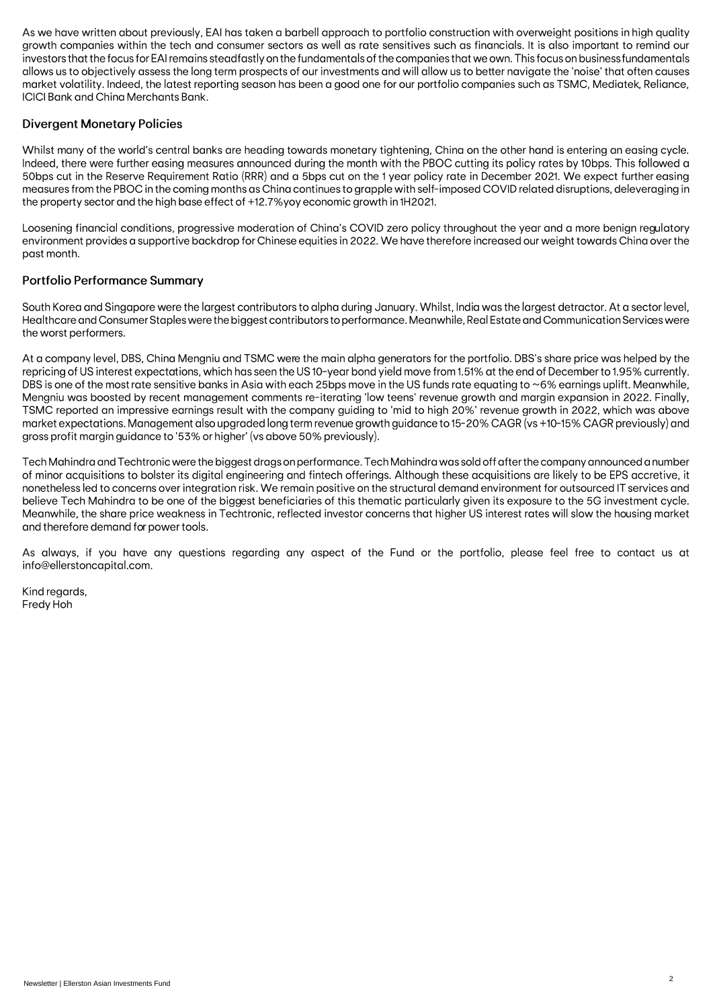As we have written about previously, EAI has taken a barbell approach to portfolio construction with overweight positions in high quality growth companies within the tech and consumer sectors as well as rate sensitives such as financials. It is also important to remind our investors that the focus for EAI remains steadfastly on the fundamentals of the companies that we own. This focus on business fundamentals allows us to objectively assess the long term prospects of our investments and will allow us to better navigate the 'noise' that often causes market volatility. Indeed, the latest reporting season has been a good one for our portfolio companies such as TSMC, Mediatek, Reliance, ICICI Bank and China Merchants Bank.

#### **Divergent Monetary Policies**

Whilst many of the world's central banks are heading towards monetary tightening, China on the other hand is entering an easing cycle. Indeed, there were further easing measures announced during the month with the PBOC cutting its policy rates by 10bps. This followed a 50bps cut in the Reserve Requirement Ratio (RRR) and a 5bps cut on the 1 year policy rate in December 2021. We expect further easing measures from the PBOC in the coming months as China continues to grapple with self-imposed COVID related disruptions, deleveraging in the property sector and the high base effect of +12.7% yoy economic growth in 1H2021.

Loosening financial conditions, progressive moderation of China's COVID zero policy throughout the year and a more benign regulatory environment provides a supportive backdrop for Chinese equities in 2022. We have therefore increased our weight towards China over the past month.

#### **Portfolio Performance Summary**

South Korea and Singapore were the largest contributors to alpha during January. Whilst, India was the largest detractor. At a sector level, Healthcare and Consumer Staples were the biggest contributors to performance. Meanwhile, Real Estate and Communication Services were the worst performers.

At a company level, DBS, China Mengniu and TSMC were the main alpha generators for the portfolio. DBS's share price was helped by the repricing of US interest expectations, which has seen the US 10-year bond yield move from 1.51% at the end of December to 1.95% currently. DBS is one of the most rate sensitive banks in Asia with each 25bps move in the US funds rate equating to  $\sim$  6% earnings uplift. Meanwhile, Mengniu was boosted by recent management comments re-iterating 'low teens' revenue growth and margin expansion in 2022. Finally, TSMC reported an impressive earnings result with the company guiding to 'mid to high 20%' revenue growth in 2022, which was above market expectations. Management also upgraded long term revenue growth guidance to 15-20% CAGR (vs +10-15% CAGR previously) and gross profit margin guidance to '53% or higher' (vs above 50% previously).

Tech Mahindra and Techtronic were the biggest drags on performance. Tech Mahindra was sold off after the company announced a number of minor acquisitions to bolster its digital engineering and fintech offerings. Although these acquisitions are likely to be EPS accretive, it nonetheless led to concerns over integration risk. We remain positive on the structural demand environment for outsourced IT services and believe Tech Mahindra to be one of the biggest beneficiaries of this thematic particularly given its exposure to the 5G investment cycle. Meanwhile, the share price weakness in Techtronic, reflected investor concerns that higher US interest rates will slow the housing market and therefore demand for power tools.

As always, if you have any questions regarding any aspect of the Fund or the portfolio, please feel free to contact us at info@ellerstoncapital.com.

Kind regards, Fredy Hoh